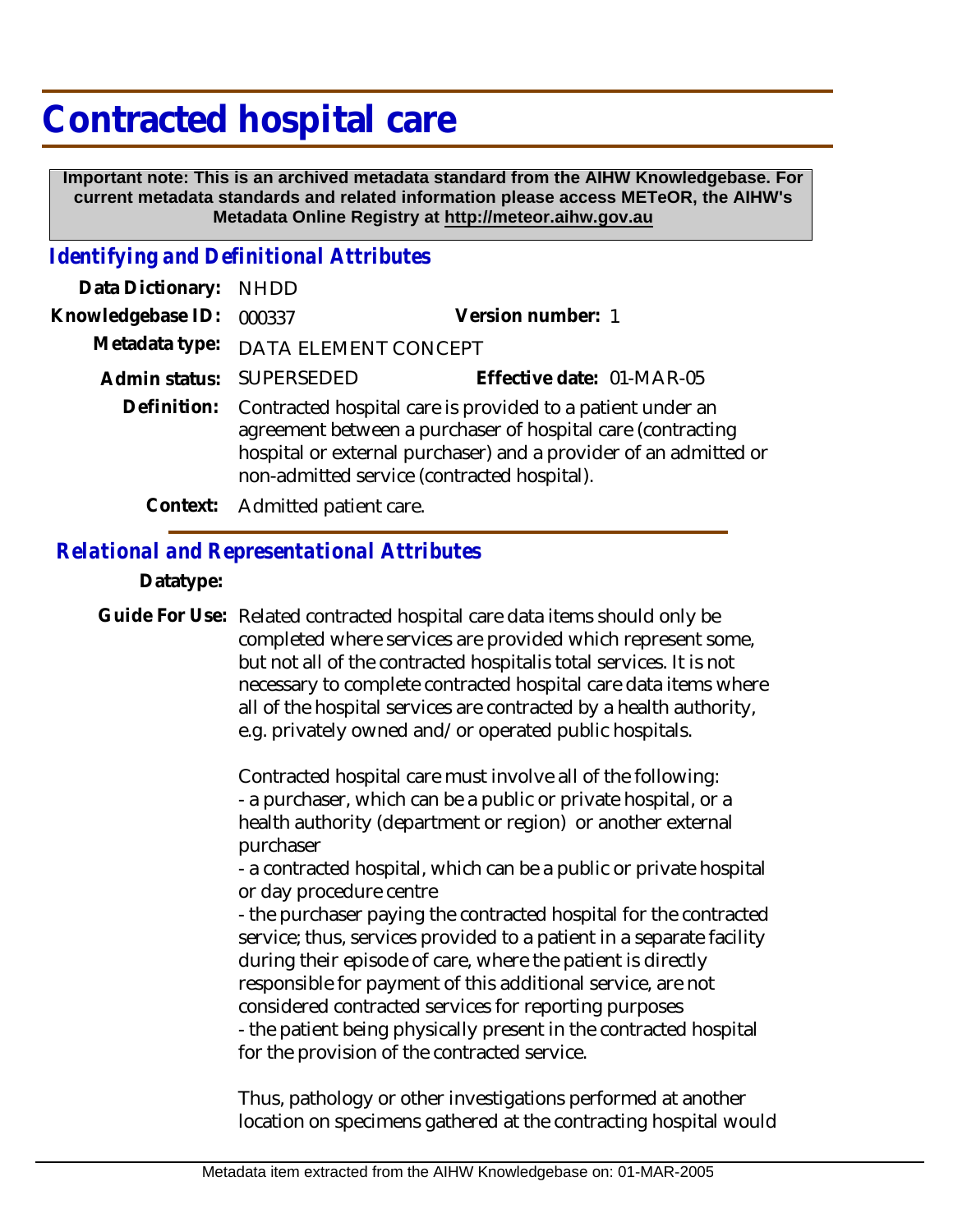# **Contracted hospital care**

 **Important note: This is an archived metadata standard from the AIHW Knowledgebase. For current metadata standards and related information please access METeOR, the AIHW's Metadata Online Registry at http://meteor.aihw.gov.au**

## *Identifying and Definitional Attributes*

| Data Dictionary: NHDD |                                                                                                                                                                                                                                              |                           |
|-----------------------|----------------------------------------------------------------------------------------------------------------------------------------------------------------------------------------------------------------------------------------------|---------------------------|
| Knowledgebase ID:     | 000337                                                                                                                                                                                                                                       | Version number: 1         |
| Metadata type:        | DATA ELEMENT CONCEPT                                                                                                                                                                                                                         |                           |
|                       | Admin status: SUPERSEDED                                                                                                                                                                                                                     | Effective date: 01-MAR-05 |
| Definition:           | Contracted hospital care is provided to a patient under an<br>agreement between a purchaser of hospital care (contracting<br>hospital or external purchaser) and a provider of an admitted or<br>non-admitted service (contracted hospital). |                           |
|                       | Context: Admitted patient care.                                                                                                                                                                                                              |                           |

## *Relational and Representational Attributes*

### **Datatype:**

Guide For Use: Related contracted hospital care data items should only be completed where services are provided which represent some, but not all of the contracted hospitalis total services. It is not necessary to complete contracted hospital care data items where all of the hospital services are contracted by a health authority, e.g. privately owned and/or operated public hospitals.

> Contracted hospital care must involve all of the following: - a purchaser, which can be a public or private hospital, or a health authority (department or region) or another external purchaser

- a contracted hospital, which can be a public or private hospital or day procedure centre

- the purchaser paying the contracted hospital for the contracted service; thus, services provided to a patient in a separate facility during their episode of care, where the patient is directly responsible for payment of this additional service, are not considered contracted services for reporting purposes - the patient being physically present in the contracted hospital for the provision of the contracted service.

Thus, pathology or other investigations performed at another location on specimens gathered at the contracting hospital would